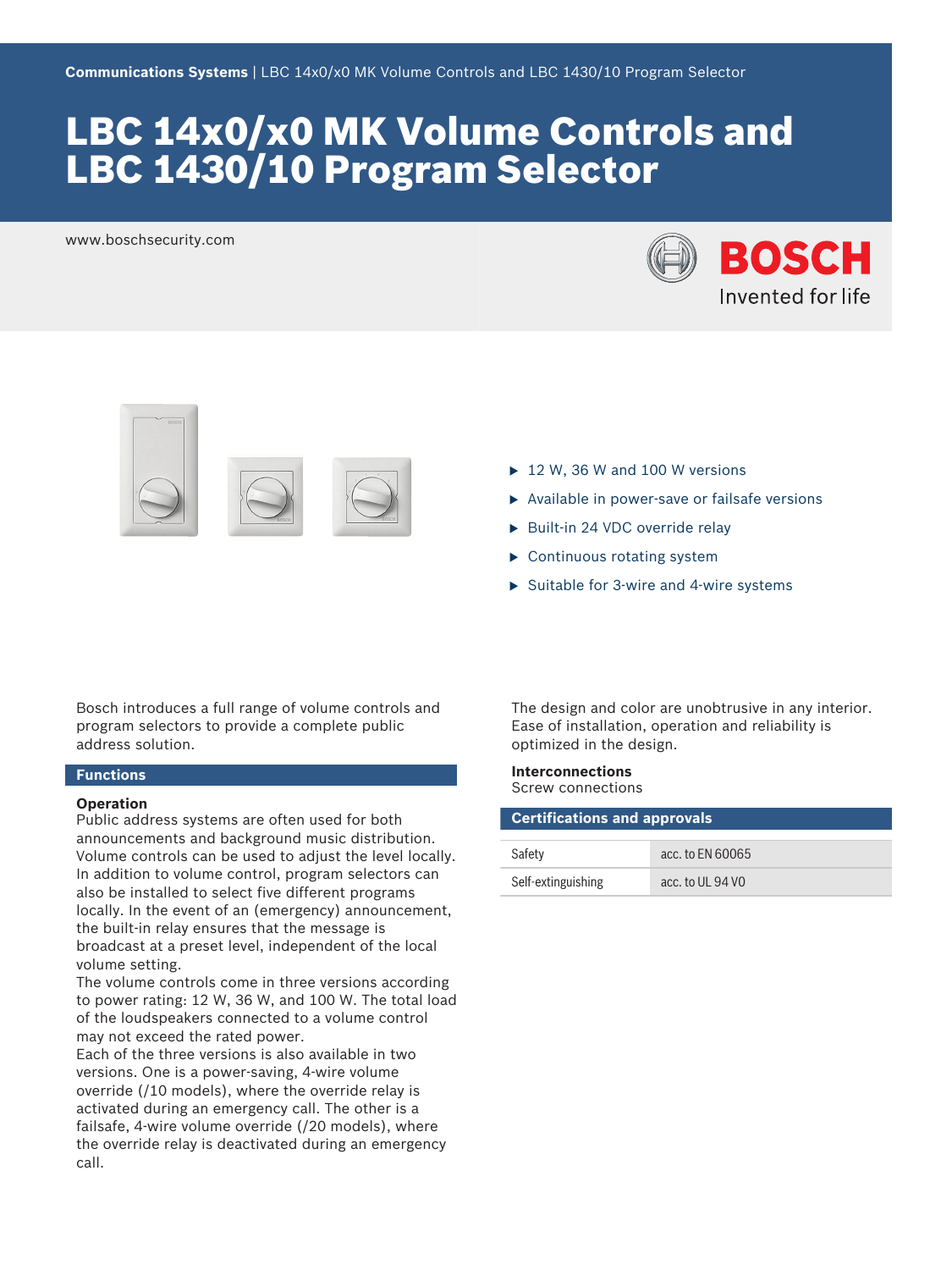# LBC 14x0/x0 MK Volume Controls and LBC 1430/10 Program Selector

www.boschsecurity.com





Bosch introduces a full range of volume controls and program selectors to provide a complete public address solution.

# **Functions**

#### **Operation**

Public address systems are often used for both announcements and background music distribution. Volume controls can be used to adjust the level locally. In addition to volume control, program selectors can also be installed to select five different programs locally. In the event of an (emergency) announcement, the built-in relay ensures that the message is broadcast at a preset level, independent of the local volume setting.

The volume controls come in three versions according to power rating: 12 W, 36 W, and 100 W. The total load of the loudspeakers connected to a volume control may not exceed the rated power.

Each of the three versions is also available in two versions. One is a power-saving, 4-wire volume override (/10 models), where the override relay is activated during an emergency call. The other is a failsafe, 4-wire volume override (/20 models), where the override relay is deactivated during an emergency call.

- $\triangleright$  12 W, 36 W and 100 W versions
- $\triangleright$  Available in power-save or failsafe versions
- $\triangleright$  Built-in 24 VDC override relay
- $\blacktriangleright$  Continuous rotating system
- $\triangleright$  Suitable for 3-wire and 4-wire systems

The design and color are unobtrusive in any interior. Ease of installation, operation and reliability is optimized in the design.

#### **Interconnections** Screw connections

| <b>Certifications and approvals</b> |                  |  |
|-------------------------------------|------------------|--|
| Safety                              | acc. to FN 60065 |  |
| Self-extinguishing                  | acc. to UL 94 VO |  |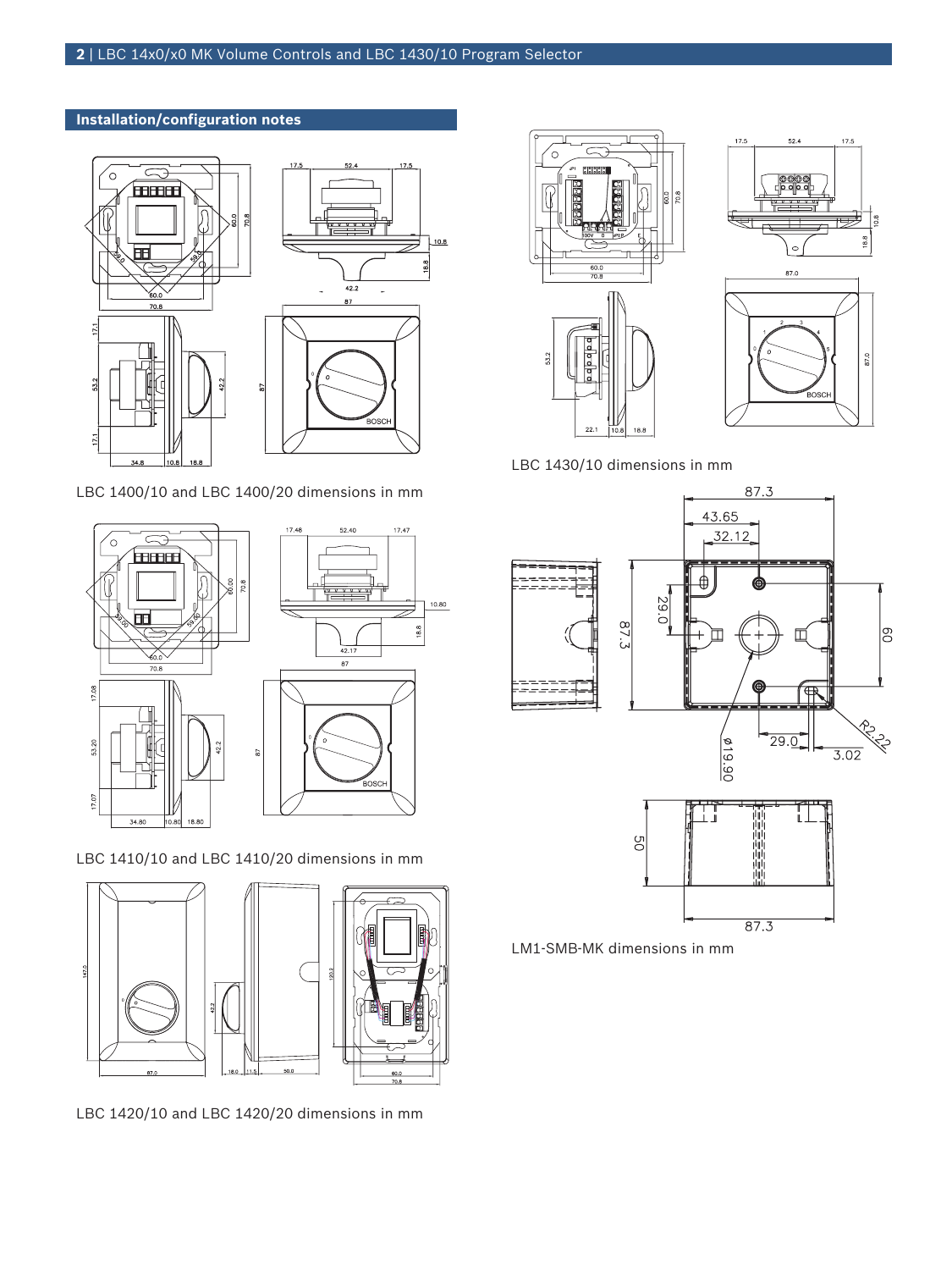# **Installation/configuration notes**



LBC 1400/10 and LBC 1400/20 dimensions in mm



LBC 1410/10 and LBC 1410/20 dimensions in mm



LBC 1420/10 and LBC 1420/20 dimensions in mm





 $52.4$ 

17.5

17.5

LBC 1430/10 dimensions in mm



LM1-SMB-MK dimensions in mm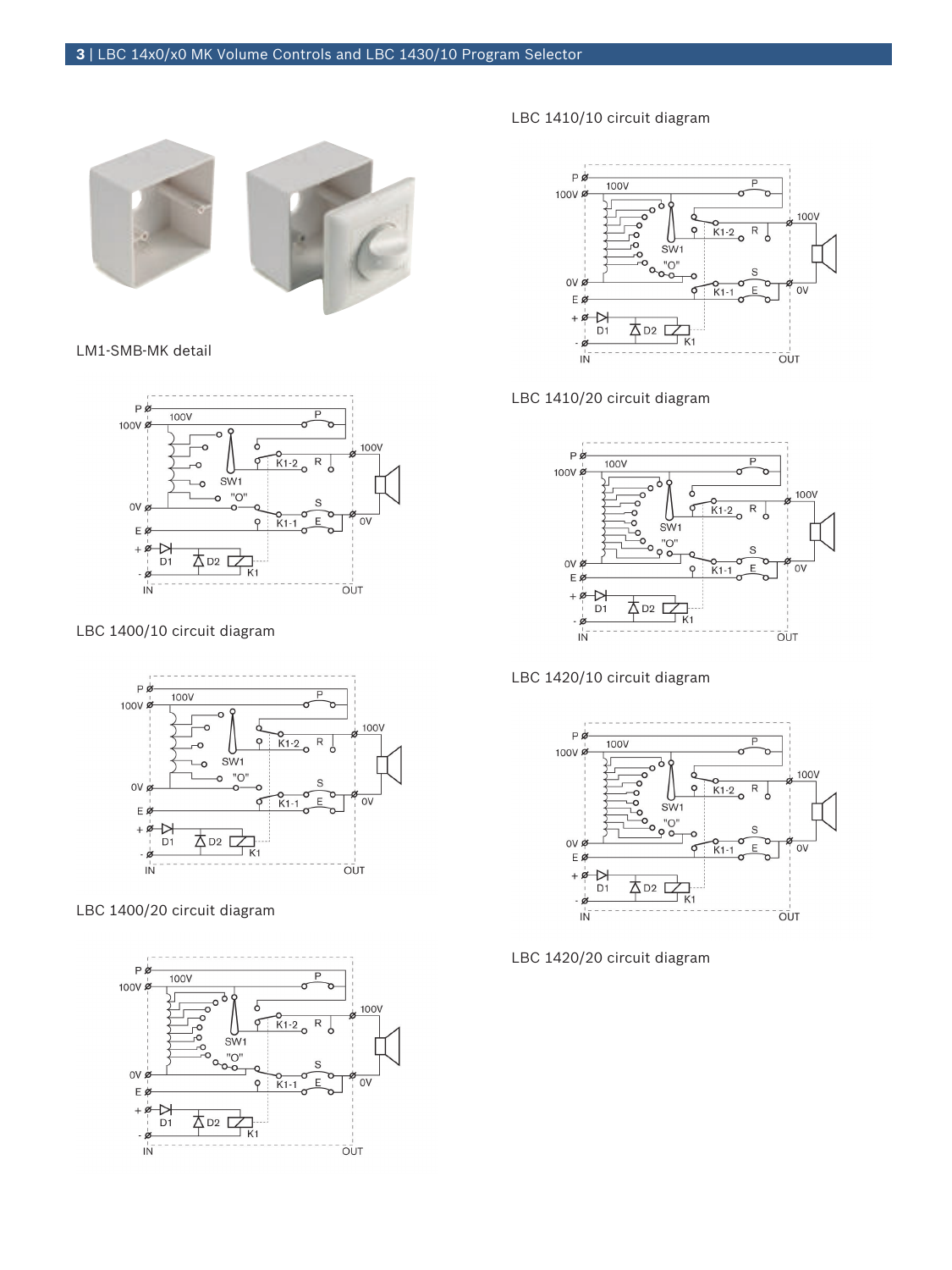

# LM1-SMB-MK detail



# LBC 1400/10 circuit diagram



# LBC 1400/20 circuit diagram



# LBC 1410/10 circuit diagram



# LBC 1410/20 circuit diagram



### LBC 1420/10 circuit diagram



LBC 1420/20 circuit diagram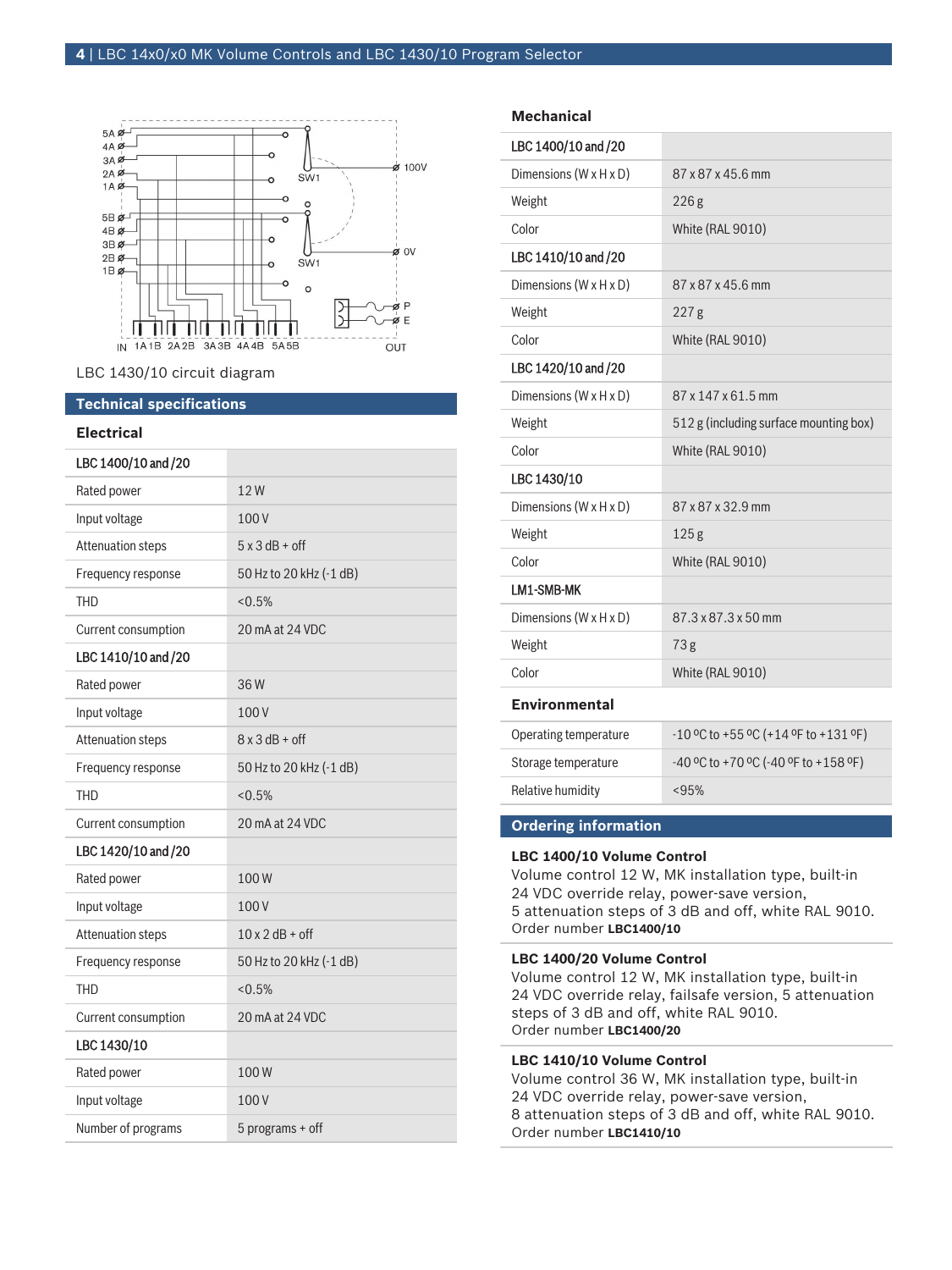

LBC 1430/10 circuit diagram

# **Technical specifications**

### **Electrical**

| LBC 1400/10 and /20      |                         |
|--------------------------|-------------------------|
| Rated power              | 12W                     |
| Input voltage            | 100V                    |
| <b>Attenuation steps</b> | $5 \times 3$ dB + off   |
| Frequency response       | 50 Hz to 20 kHz (-1 dB) |
| <b>THD</b>               | $< 0.5\%$               |
| Current consumption      | 20 mA at 24 VDC         |
| LBC 1410/10 and /20      |                         |
| Rated power              | 36W                     |
| Input voltage            | 100V                    |
| Attenuation steps        | $8 \times 3$ dB + off   |
| Frequency response       | 50 Hz to 20 kHz (-1 dB) |
| <b>THD</b>               | < 0.5%                  |
| Current consumption      | 20 mA at 24 VDC         |
| LBC 1420/10 and /20      |                         |
| Rated power              | 100W                    |
| Input voltage            | 100V                    |
| Attenuation steps        | $10 \times 2$ dB + off  |
| Frequency response       | 50 Hz to 20 kHz (-1 dB) |
| <b>THD</b>               | $< 0.5\%$               |
| Current consumption      | 20 mA at 24 VDC         |
| LBC 1430/10              |                         |
| Rated power              | 100W                    |
| Input voltage            | 100V                    |
| Number of programs       | 5 programs + off        |

#### **Mechanical**

| LBC 1400/10 and /20                |                                        |
|------------------------------------|----------------------------------------|
| Dimensions (W x H x D)             | 87 x 87 x 45.6 mm                      |
| Weight                             | 226g                                   |
| Color                              | <b>White (RAL 9010)</b>                |
| LBC 1410/10 and /20                |                                        |
| Dimensions (W x H x D)             | 87 x 87 x 45.6 mm                      |
| Weight                             | 227g                                   |
| Color                              | White (RAL 9010)                       |
| LBC 1420/10 and /20                |                                        |
| Dimensions $(W \times H \times D)$ | 87 x 147 x 61.5 mm                     |
| Weight                             | 512 g (including surface mounting box) |
| Color                              | White (RAL 9010)                       |
| LBC 1430/10                        |                                        |
| Dimensions $(W \times H \times D)$ | 87 x 87 x 32.9 mm                      |
| Weight                             | 125 <sub>g</sub>                       |
| Color                              | White (RAL 9010)                       |
| LM1-SMB-MK                         |                                        |
| Dimensions (W x H x D)             | 87.3 x 87.3 x 50 mm                    |
| Weight                             | 73g                                    |
| Color                              | White (RAL 9010)                       |
|                                    |                                        |

### **Environmental**

| Operating temperature | $-10$ °C to +55 °C (+14 °F to +131 °F)    |
|-----------------------|-------------------------------------------|
| Storage temperature   | $-40$ °C to +70 °C ( $-40$ °F to +158 °F) |
| Relative humidity     | < 95%                                     |

### **Ordering information**

#### **LBC 1400/10 Volume Control**

Volume control 12 W, MK installation type, built-in 24 VDC override relay, power-save version, 5 attenuation steps of 3 dB and off, white RAL 9010. Order number **LBC1400/10**

#### **LBC 1400/20 Volume Control**

Volume control 12 W, MK installation type, built-in 24 VDC override relay, failsafe version, 5 attenuation steps of 3 dB and off, white RAL 9010. Order number **LBC1400/20**

#### **LBC 1410/10 Volume Control**

Volume control 36 W, MK installation type, built-in 24 VDC override relay, power-save version, 8 attenuation steps of 3 dB and off, white RAL 9010. Order number **LBC1410/10**